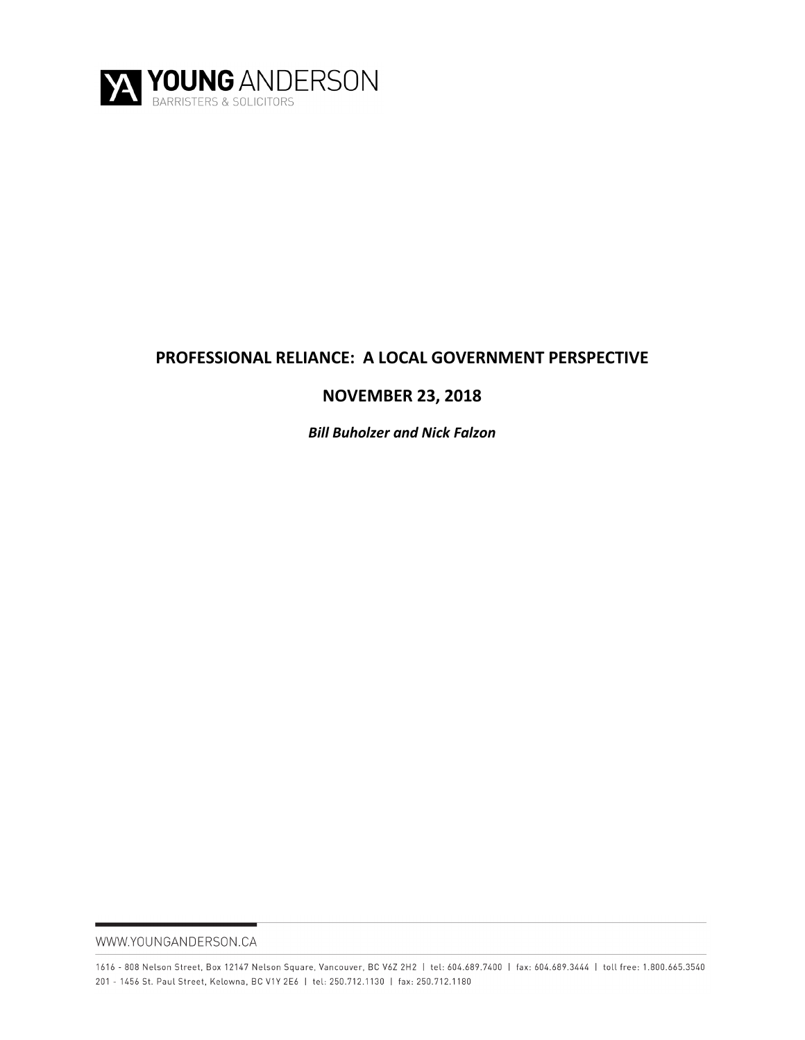

# **PROFESSIONAL RELIANCE: A LOCAL GOVERNMENT PERSPECTIVE**

# **NOVEMBER 23, 2018**

*Bill Buholzer and Nick Falzon*

WWW.YOUNGANDERSON.CA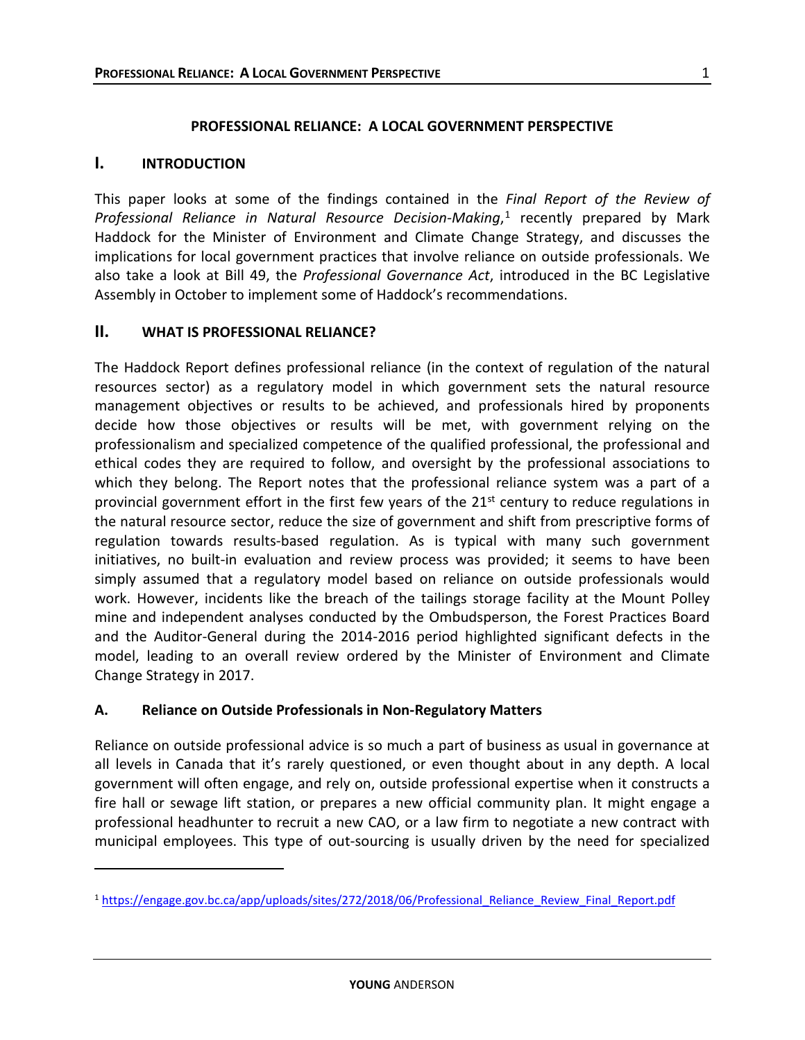1

#### **PROFESSIONAL RELIANCE: A LOCAL GOVERNMENT PERSPECTIVE**

### **I. INTRODUCTION**

 $\overline{a}$ 

This paper looks at some of the findings contained in the *Final Report of the Review of*  Professional Reliance in Natural Resource Decision-Making,<sup>[1](#page-1-0)</sup> recently prepared by Mark Haddock for the Minister of Environment and Climate Change Strategy, and discusses the implications for local government practices that involve reliance on outside professionals. We also take a look at Bill 49, the *Professional Governance Act*, introduced in the BC Legislative Assembly in October to implement some of Haddock's recommendations.

### **II. WHAT IS PROFESSIONAL RELIANCE?**

The Haddock Report defines professional reliance (in the context of regulation of the natural resources sector) as a regulatory model in which government sets the natural resource management objectives or results to be achieved, and professionals hired by proponents decide how those objectives or results will be met, with government relying on the professionalism and specialized competence of the qualified professional, the professional and ethical codes they are required to follow, and oversight by the professional associations to which they belong. The Report notes that the professional reliance system was a part of a provincial government effort in the first few years of the  $21^{st}$  century to reduce regulations in the natural resource sector, reduce the size of government and shift from prescriptive forms of regulation towards results-based regulation. As is typical with many such government initiatives, no built-in evaluation and review process was provided; it seems to have been simply assumed that a regulatory model based on reliance on outside professionals would work. However, incidents like the breach of the tailings storage facility at the Mount Polley mine and independent analyses conducted by the Ombudsperson, the Forest Practices Board and the Auditor-General during the 2014-2016 period highlighted significant defects in the model, leading to an overall review ordered by the Minister of Environment and Climate Change Strategy in 2017.

## **A. Reliance on Outside Professionals in Non-Regulatory Matters**

Reliance on outside professional advice is so much a part of business as usual in governance at all levels in Canada that it's rarely questioned, or even thought about in any depth. A local government will often engage, and rely on, outside professional expertise when it constructs a fire hall or sewage lift station, or prepares a new official community plan. It might engage a professional headhunter to recruit a new CAO, or a law firm to negotiate a new contract with municipal employees. This type of out-sourcing is usually driven by the need for specialized

<span id="page-1-0"></span><sup>1</sup> [https://engage.gov.bc.ca/app/uploads/sites/272/2018/06/Professional\\_Reliance\\_Review\\_Final\\_Report.pdf](https://engage.gov.bc.ca/app/uploads/sites/272/2018/06/Professional_Reliance_Review_Final_Report.pdf)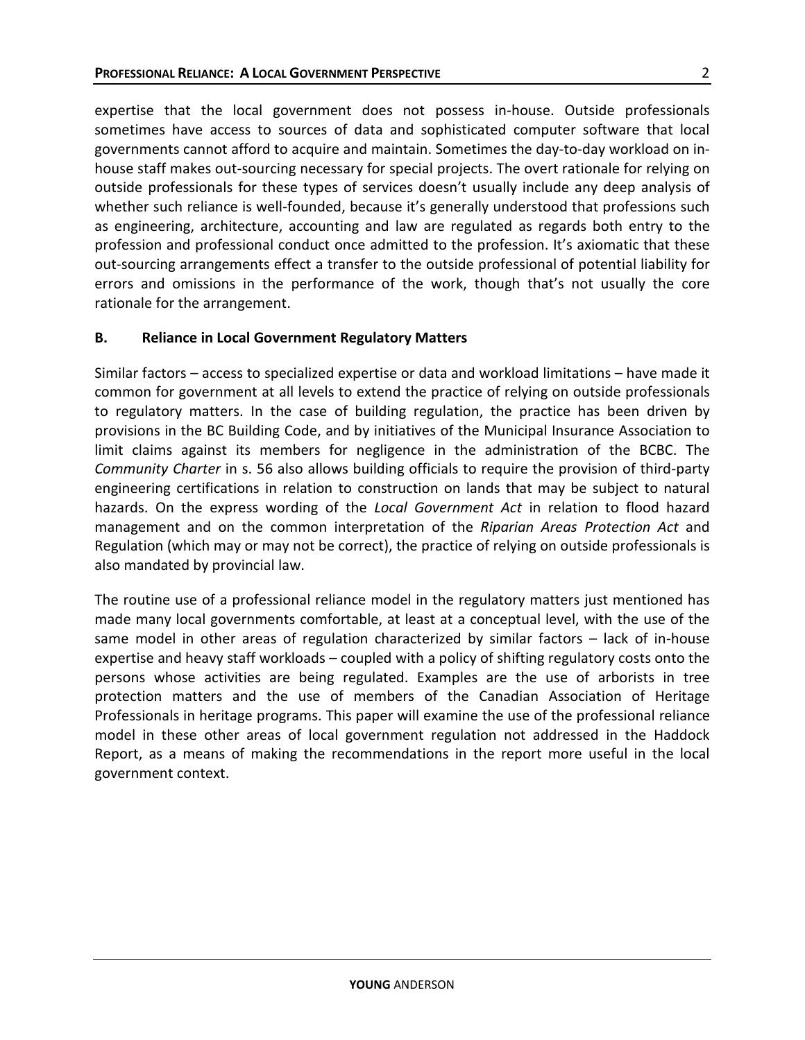expertise that the local government does not possess in-house. Outside professionals sometimes have access to sources of data and sophisticated computer software that local governments cannot afford to acquire and maintain. Sometimes the day-to-day workload on inhouse staff makes out-sourcing necessary for special projects. The overt rationale for relying on outside professionals for these types of services doesn't usually include any deep analysis of whether such reliance is well-founded, because it's generally understood that professions such as engineering, architecture, accounting and law are regulated as regards both entry to the profession and professional conduct once admitted to the profession. It's axiomatic that these out-sourcing arrangements effect a transfer to the outside professional of potential liability for errors and omissions in the performance of the work, though that's not usually the core rationale for the arrangement.

#### **B. Reliance in Local Government Regulatory Matters**

Similar factors – access to specialized expertise or data and workload limitations – have made it common for government at all levels to extend the practice of relying on outside professionals to regulatory matters. In the case of building regulation, the practice has been driven by provisions in the BC Building Code, and by initiatives of the Municipal Insurance Association to limit claims against its members for negligence in the administration of the BCBC. The *Community Charter* in s. 56 also allows building officials to require the provision of third-party engineering certifications in relation to construction on lands that may be subject to natural hazards. On the express wording of the *Local Government Act* in relation to flood hazard management and on the common interpretation of the *Riparian Areas Protection Act* and Regulation (which may or may not be correct), the practice of relying on outside professionals is also mandated by provincial law.

The routine use of a professional reliance model in the regulatory matters just mentioned has made many local governments comfortable, at least at a conceptual level, with the use of the same model in other areas of regulation characterized by similar factors – lack of in-house expertise and heavy staff workloads – coupled with a policy of shifting regulatory costs onto the persons whose activities are being regulated. Examples are the use of arborists in tree protection matters and the use of members of the Canadian Association of Heritage Professionals in heritage programs. This paper will examine the use of the professional reliance model in these other areas of local government regulation not addressed in the Haddock Report, as a means of making the recommendations in the report more useful in the local government context.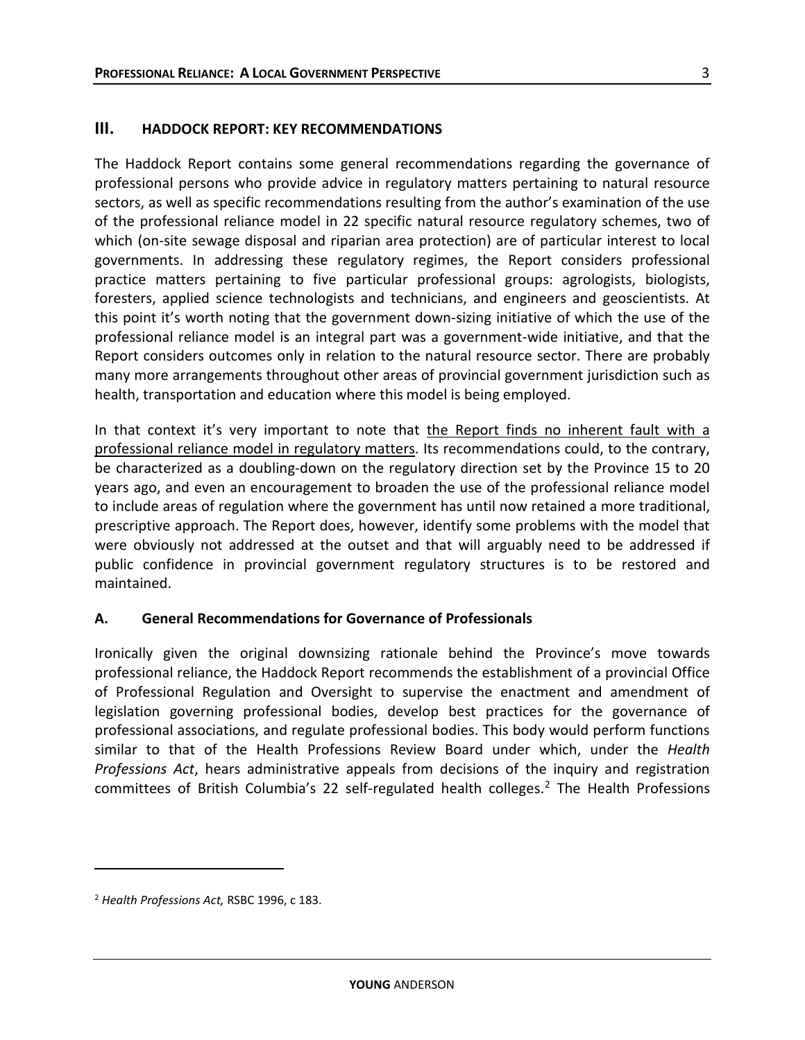### **III. HADDOCK REPORT: KEY RECOMMENDATIONS**

The Haddock Report contains some general recommendations regarding the governance of professional persons who provide advice in regulatory matters pertaining to natural resource sectors, as well as specific recommendations resulting from the author's examination of the use of the professional reliance model in 22 specific natural resource regulatory schemes, two of which (on-site sewage disposal and riparian area protection) are of particular interest to local governments. In addressing these regulatory regimes, the Report considers professional practice matters pertaining to five particular professional groups: agrologists, biologists, foresters, applied science technologists and technicians, and engineers and geoscientists. At this point it's worth noting that the government down-sizing initiative of which the use of the professional reliance model is an integral part was a government-wide initiative, and that the Report considers outcomes only in relation to the natural resource sector. There are probably many more arrangements throughout other areas of provincial government jurisdiction such as health, transportation and education where this model is being employed.

In that context it's very important to note that the Report finds no inherent fault with a professional reliance model in regulatory matters. Its recommendations could, to the contrary, be characterized as a doubling-down on the regulatory direction set by the Province 15 to 20 years ago, and even an encouragement to broaden the use of the professional reliance model to include areas of regulation where the government has until now retained a more traditional, prescriptive approach. The Report does, however, identify some problems with the model that were obviously not addressed at the outset and that will arguably need to be addressed if public confidence in provincial government regulatory structures is to be restored and maintained.

#### **A. General Recommendations for Governance of Professionals**

Ironically given the original downsizing rationale behind the Province's move towards professional reliance, the Haddock Report recommends the establishment of a provincial Office of Professional Regulation and Oversight to supervise the enactment and amendment of legislation governing professional bodies, develop best practices for the governance of professional associations, and regulate professional bodies. This body would perform functions similar to that of the Health Professions Review Board under which, under the *Health Professions Act*, hears administrative appeals from decisions of the inquiry and registration committees of British Columbia's 22 self-regulated health colleges[.2](#page-3-0) The Health Professions

 $\overline{a}$ 

<span id="page-3-0"></span><sup>2</sup> *Health Professions Act,* RSBC 1996, c 183.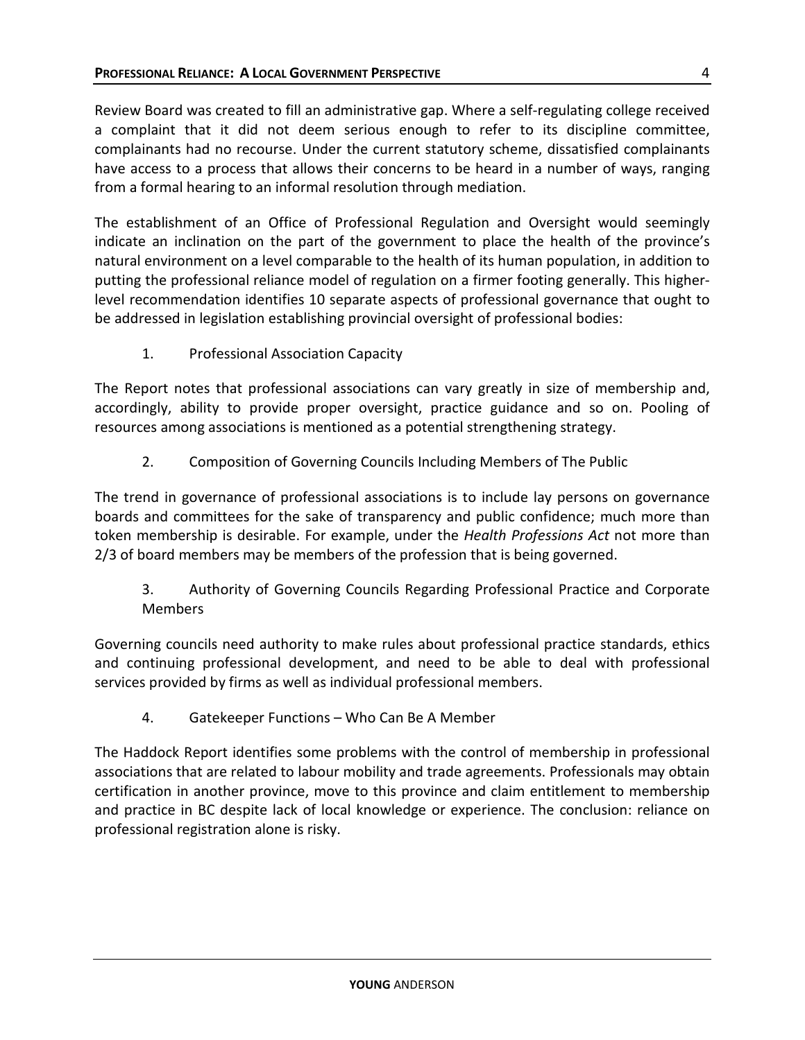Review Board was created to fill an administrative gap. Where a self-regulating college received a complaint that it did not deem serious enough to refer to its discipline committee, complainants had no recourse. Under the current statutory scheme, dissatisfied complainants have access to a process that allows their concerns to be heard in a number of ways, ranging from a formal hearing to an informal resolution through mediation.

The establishment of an Office of Professional Regulation and Oversight would seemingly indicate an inclination on the part of the government to place the health of the province's natural environment on a level comparable to the health of its human population, in addition to putting the professional reliance model of regulation on a firmer footing generally. This higherlevel recommendation identifies 10 separate aspects of professional governance that ought to be addressed in legislation establishing provincial oversight of professional bodies:

1. Professional Association Capacity

The Report notes that professional associations can vary greatly in size of membership and, accordingly, ability to provide proper oversight, practice guidance and so on. Pooling of resources among associations is mentioned as a potential strengthening strategy.

2. Composition of Governing Councils Including Members of The Public

The trend in governance of professional associations is to include lay persons on governance boards and committees for the sake of transparency and public confidence; much more than token membership is desirable. For example, under the *Health Professions Act* not more than 2/3 of board members may be members of the profession that is being governed.

3. Authority of Governing Councils Regarding Professional Practice and Corporate Members

Governing councils need authority to make rules about professional practice standards, ethics and continuing professional development, and need to be able to deal with professional services provided by firms as well as individual professional members.

4. Gatekeeper Functions – Who Can Be A Member

The Haddock Report identifies some problems with the control of membership in professional associations that are related to labour mobility and trade agreements. Professionals may obtain certification in another province, move to this province and claim entitlement to membership and practice in BC despite lack of local knowledge or experience. The conclusion: reliance on professional registration alone is risky.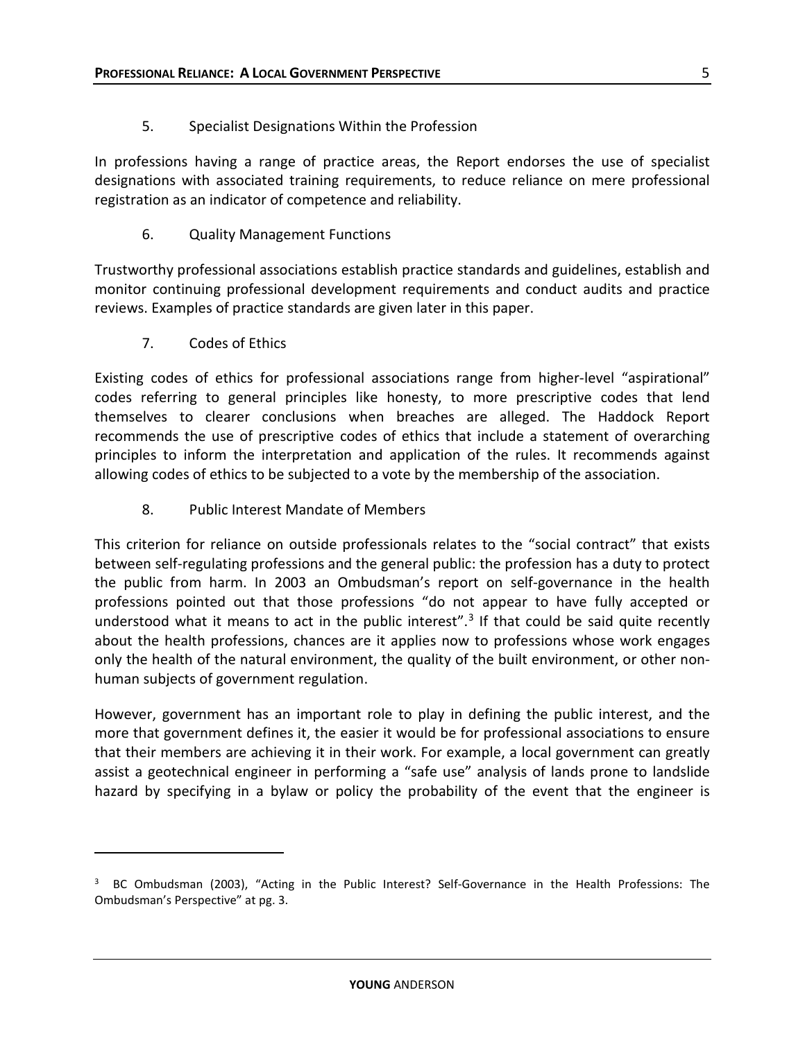5. Specialist Designations Within the Profession

In professions having a range of practice areas, the Report endorses the use of specialist designations with associated training requirements, to reduce reliance on mere professional registration as an indicator of competence and reliability.

6. Quality Management Functions

Trustworthy professional associations establish practice standards and guidelines, establish and monitor continuing professional development requirements and conduct audits and practice reviews. Examples of practice standards are given later in this paper.

7. Codes of Ethics

 $\overline{a}$ 

Existing codes of ethics for professional associations range from higher-level "aspirational" codes referring to general principles like honesty, to more prescriptive codes that lend themselves to clearer conclusions when breaches are alleged. The Haddock Report recommends the use of prescriptive codes of ethics that include a statement of overarching principles to inform the interpretation and application of the rules. It recommends against allowing codes of ethics to be subjected to a vote by the membership of the association.

8. Public Interest Mandate of Members

This criterion for reliance on outside professionals relates to the "social contract" that exists between self-regulating professions and the general public: the profession has a duty to protect the public from harm. In 2003 an Ombudsman's report on self-governance in the health professions pointed out that those professions "do not appear to have fully accepted or understood what it means to act in the public interest".<sup>3</sup> If that could be said quite recently about the health professions, chances are it applies now to professions whose work engages only the health of the natural environment, the quality of the built environment, or other nonhuman subjects of government regulation.

However, government has an important role to play in defining the public interest, and the more that government defines it, the easier it would be for professional associations to ensure that their members are achieving it in their work. For example, a local government can greatly assist a geotechnical engineer in performing a "safe use" analysis of lands prone to landslide hazard by specifying in a bylaw or policy the probability of the event that the engineer is

<span id="page-5-0"></span><sup>3</sup> BC Ombudsman (2003), "Acting in the Public Interest? Self-Governance in the Health Professions: The Ombudsman's Perspective" at pg. 3.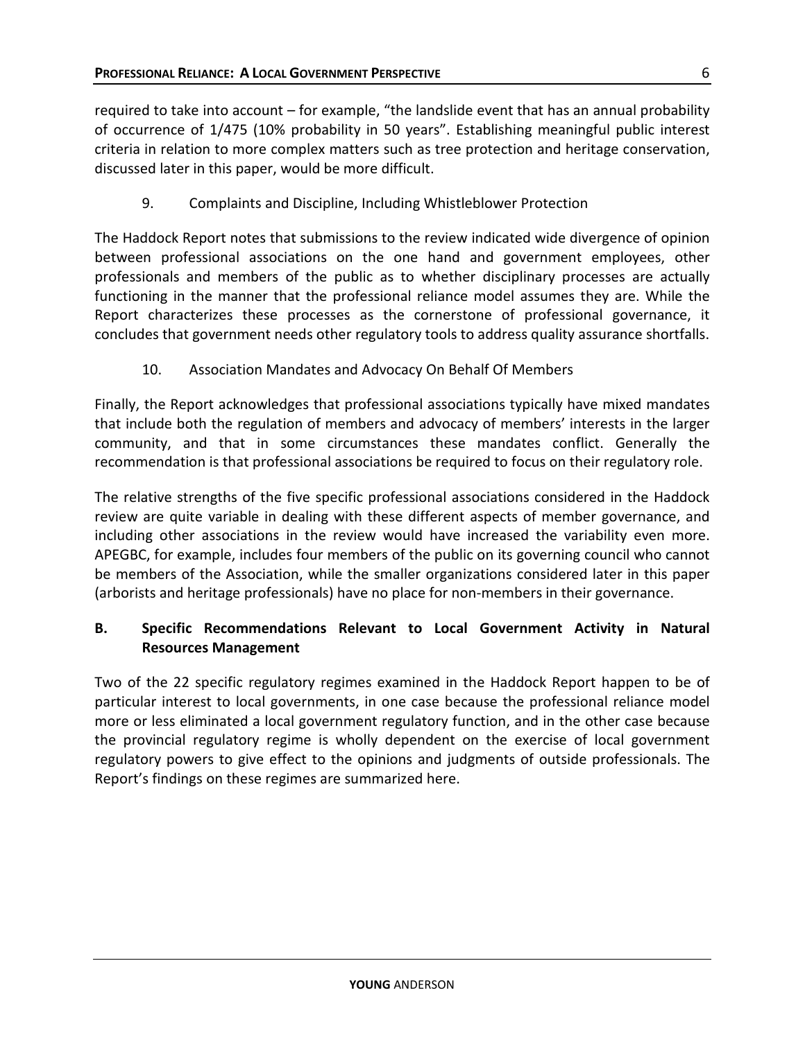required to take into account – for example, "the landslide event that has an annual probability of occurrence of 1/475 (10% probability in 50 years". Establishing meaningful public interest criteria in relation to more complex matters such as tree protection and heritage conservation, discussed later in this paper, would be more difficult.

9. Complaints and Discipline, Including Whistleblower Protection

The Haddock Report notes that submissions to the review indicated wide divergence of opinion between professional associations on the one hand and government employees, other professionals and members of the public as to whether disciplinary processes are actually functioning in the manner that the professional reliance model assumes they are. While the Report characterizes these processes as the cornerstone of professional governance, it concludes that government needs other regulatory tools to address quality assurance shortfalls.

10. Association Mandates and Advocacy On Behalf Of Members

Finally, the Report acknowledges that professional associations typically have mixed mandates that include both the regulation of members and advocacy of members' interests in the larger community, and that in some circumstances these mandates conflict. Generally the recommendation is that professional associations be required to focus on their regulatory role.

The relative strengths of the five specific professional associations considered in the Haddock review are quite variable in dealing with these different aspects of member governance, and including other associations in the review would have increased the variability even more. APEGBC, for example, includes four members of the public on its governing council who cannot be members of the Association, while the smaller organizations considered later in this paper (arborists and heritage professionals) have no place for non-members in their governance.

# **B. Specific Recommendations Relevant to Local Government Activity in Natural Resources Management**

Two of the 22 specific regulatory regimes examined in the Haddock Report happen to be of particular interest to local governments, in one case because the professional reliance model more or less eliminated a local government regulatory function, and in the other case because the provincial regulatory regime is wholly dependent on the exercise of local government regulatory powers to give effect to the opinions and judgments of outside professionals. The Report's findings on these regimes are summarized here.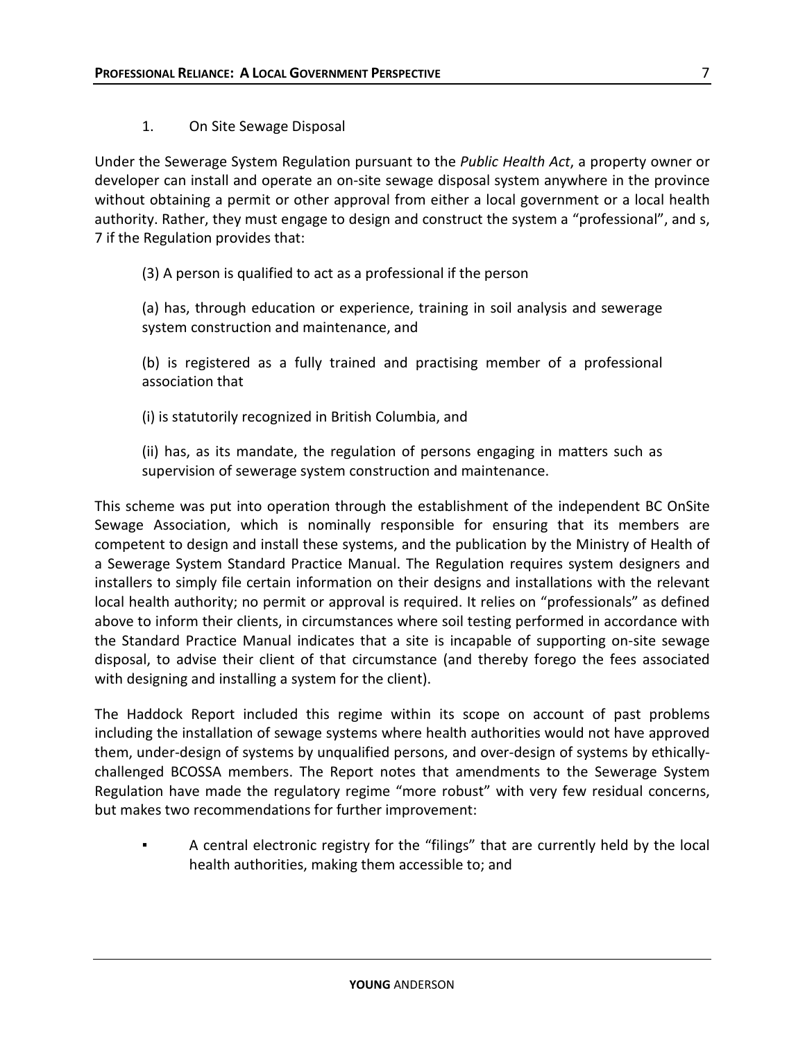1. On Site Sewage Disposal

Under the Sewerage System Regulation pursuant to the *Public Health Act*, a property owner or developer can install and operate an on-site sewage disposal system anywhere in the province without obtaining a permit or other approval from either a local government or a local health authority. Rather, they must engage to design and construct the system a "professional", and s, 7 if the Regulation provides that:

(3) A person is qualified to act as a professional if the person

(a) has, through education or experience, training in soil analysis and sewerage system construction and maintenance, and

(b) is registered as a fully trained and practising member of a professional association that

(i) is statutorily recognized in British Columbia, and

(ii) has, as its mandate, the regulation of persons engaging in matters such as supervision of sewerage system construction and maintenance.

This scheme was put into operation through the establishment of the independent BC OnSite Sewage Association, which is nominally responsible for ensuring that its members are competent to design and install these systems, and the publication by the Ministry of Health of a Sewerage System Standard Practice Manual. The Regulation requires system designers and installers to simply file certain information on their designs and installations with the relevant local health authority; no permit or approval is required. It relies on "professionals" as defined above to inform their clients, in circumstances where soil testing performed in accordance with the Standard Practice Manual indicates that a site is incapable of supporting on-site sewage disposal, to advise their client of that circumstance (and thereby forego the fees associated with designing and installing a system for the client).

The Haddock Report included this regime within its scope on account of past problems including the installation of sewage systems where health authorities would not have approved them, under-design of systems by unqualified persons, and over-design of systems by ethicallychallenged BCOSSA members. The Report notes that amendments to the Sewerage System Regulation have made the regulatory regime "more robust" with very few residual concerns, but makes two recommendations for further improvement:

A central electronic registry for the "filings" that are currently held by the local health authorities, making them accessible to; and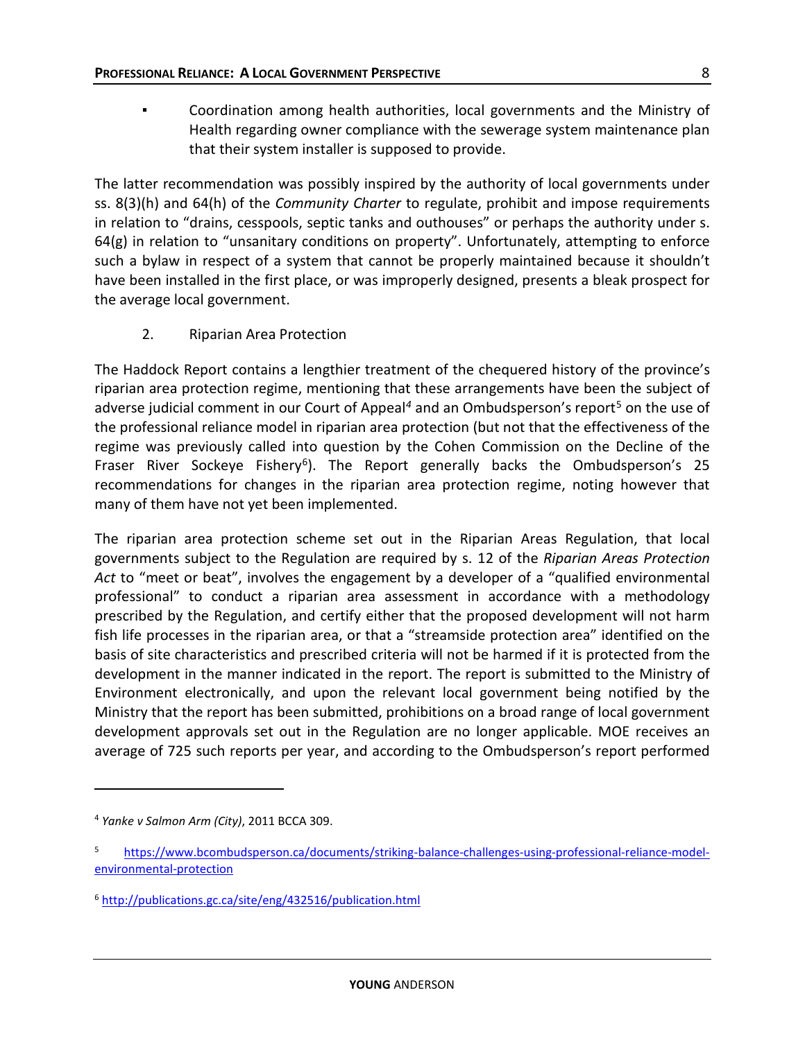Coordination among health authorities, local governments and the Ministry of Health regarding owner compliance with the sewerage system maintenance plan that their system installer is supposed to provide.

The latter recommendation was possibly inspired by the authority of local governments under ss. 8(3)(h) and 64(h) of the *Community Charter* to regulate, prohibit and impose requirements in relation to "drains, cesspools, septic tanks and outhouses" or perhaps the authority under s. 64(g) in relation to "unsanitary conditions on property". Unfortunately, attempting to enforce such a bylaw in respect of a system that cannot be properly maintained because it shouldn't have been installed in the first place, or was improperly designed, presents a bleak prospect for the average local government.

2. Riparian Area Protection

The Haddock Report contains a lengthier treatment of the chequered history of the province's riparian area protection regime, mentioning that these arrangements have been the subject of adverse judicial comment in our Court of Appeal<sup>[4](#page-8-0)</sup> and an Ombudsperson's report<sup>[5](#page-8-1)</sup> on the use of the professional reliance model in riparian area protection (but not that the effectiveness of the regime was previously called into question by the Cohen Commission on the Decline of the Fraser River Sockeye Fishery<sup>[6](#page-8-2)</sup>). The Report generally backs the Ombudsperson's 25 recommendations for changes in the riparian area protection regime, noting however that many of them have not yet been implemented.

The riparian area protection scheme set out in the Riparian Areas Regulation, that local governments subject to the Regulation are required by s. 12 of the *Riparian Areas Protection Act* to "meet or beat", involves the engagement by a developer of a "qualified environmental professional" to conduct a riparian area assessment in accordance with a methodology prescribed by the Regulation, and certify either that the proposed development will not harm fish life processes in the riparian area, or that a "streamside protection area" identified on the basis of site characteristics and prescribed criteria will not be harmed if it is protected from the development in the manner indicated in the report. The report is submitted to the Ministry of Environment electronically, and upon the relevant local government being notified by the Ministry that the report has been submitted, prohibitions on a broad range of local government development approvals set out in the Regulation are no longer applicable. MOE receives an average of 725 such reports per year, and according to the Ombudsperson's report performed

 $\overline{a}$ 

<span id="page-8-0"></span><sup>4</sup> *Yanke v Salmon Arm (City)*, 2011 BCCA 309.

<span id="page-8-1"></span><sup>5</sup> [https://www.bcombudsperson.ca/documents/striking-balance-challenges-using-professional-reliance-model](https://www.bcombudsperson.ca/documents/striking-balance-challenges-using-professional-reliance-model-environmental-protection)[environmental-protection](https://www.bcombudsperson.ca/documents/striking-balance-challenges-using-professional-reliance-model-environmental-protection)

<span id="page-8-2"></span><sup>6</sup> <http://publications.gc.ca/site/eng/432516/publication.html>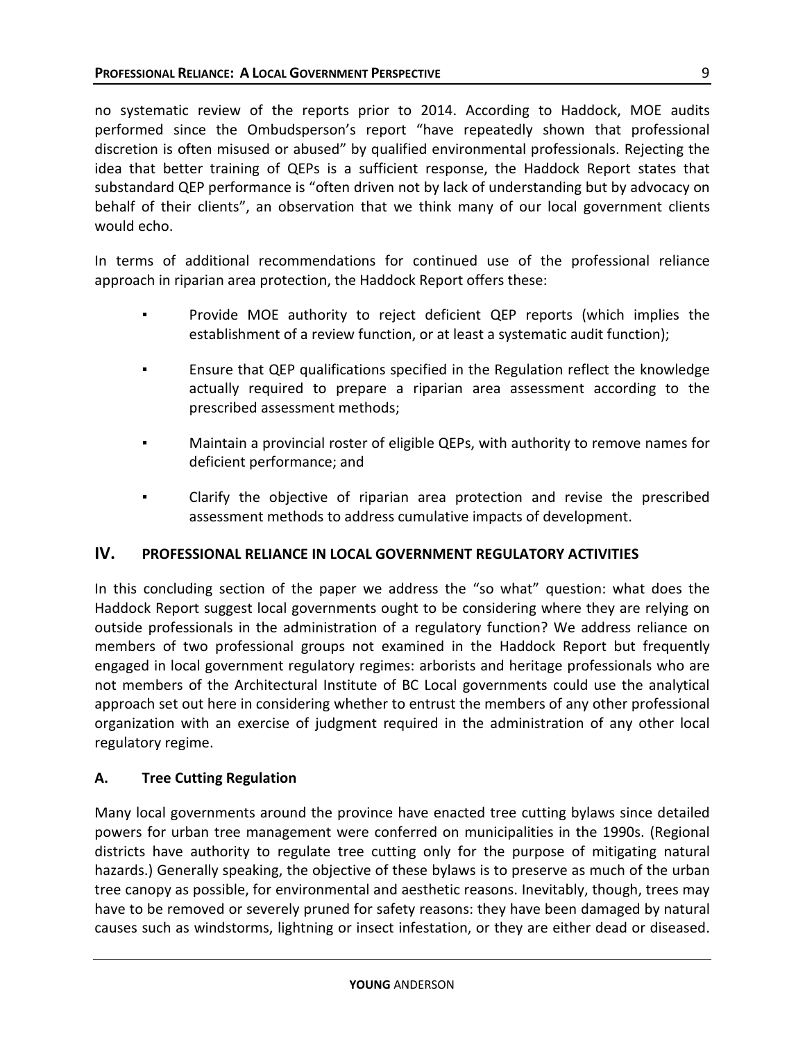no systematic review of the reports prior to 2014. According to Haddock, MOE audits performed since the Ombudsperson's report "have repeatedly shown that professional discretion is often misused or abused" by qualified environmental professionals. Rejecting the idea that better training of QEPs is a sufficient response, the Haddock Report states that substandard QEP performance is "often driven not by lack of understanding but by advocacy on behalf of their clients", an observation that we think many of our local government clients would echo.

In terms of additional recommendations for continued use of the professional reliance approach in riparian area protection, the Haddock Report offers these:

- Provide MOE authority to reject deficient QEP reports (which implies the establishment of a review function, or at least a systematic audit function);
- Ensure that QEP qualifications specified in the Regulation reflect the knowledge actually required to prepare a riparian area assessment according to the prescribed assessment methods;
- Maintain a provincial roster of eligible QEPs, with authority to remove names for deficient performance; and
- Clarify the objective of riparian area protection and revise the prescribed assessment methods to address cumulative impacts of development.

## **IV. PROFESSIONAL RELIANCE IN LOCAL GOVERNMENT REGULATORY ACTIVITIES**

In this concluding section of the paper we address the "so what" question: what does the Haddock Report suggest local governments ought to be considering where they are relying on outside professionals in the administration of a regulatory function? We address reliance on members of two professional groups not examined in the Haddock Report but frequently engaged in local government regulatory regimes: arborists and heritage professionals who are not members of the Architectural Institute of BC Local governments could use the analytical approach set out here in considering whether to entrust the members of any other professional organization with an exercise of judgment required in the administration of any other local regulatory regime.

## **A. Tree Cutting Regulation**

Many local governments around the province have enacted tree cutting bylaws since detailed powers for urban tree management were conferred on municipalities in the 1990s. (Regional districts have authority to regulate tree cutting only for the purpose of mitigating natural hazards.) Generally speaking, the objective of these bylaws is to preserve as much of the urban tree canopy as possible, for environmental and aesthetic reasons. Inevitably, though, trees may have to be removed or severely pruned for safety reasons: they have been damaged by natural causes such as windstorms, lightning or insect infestation, or they are either dead or diseased.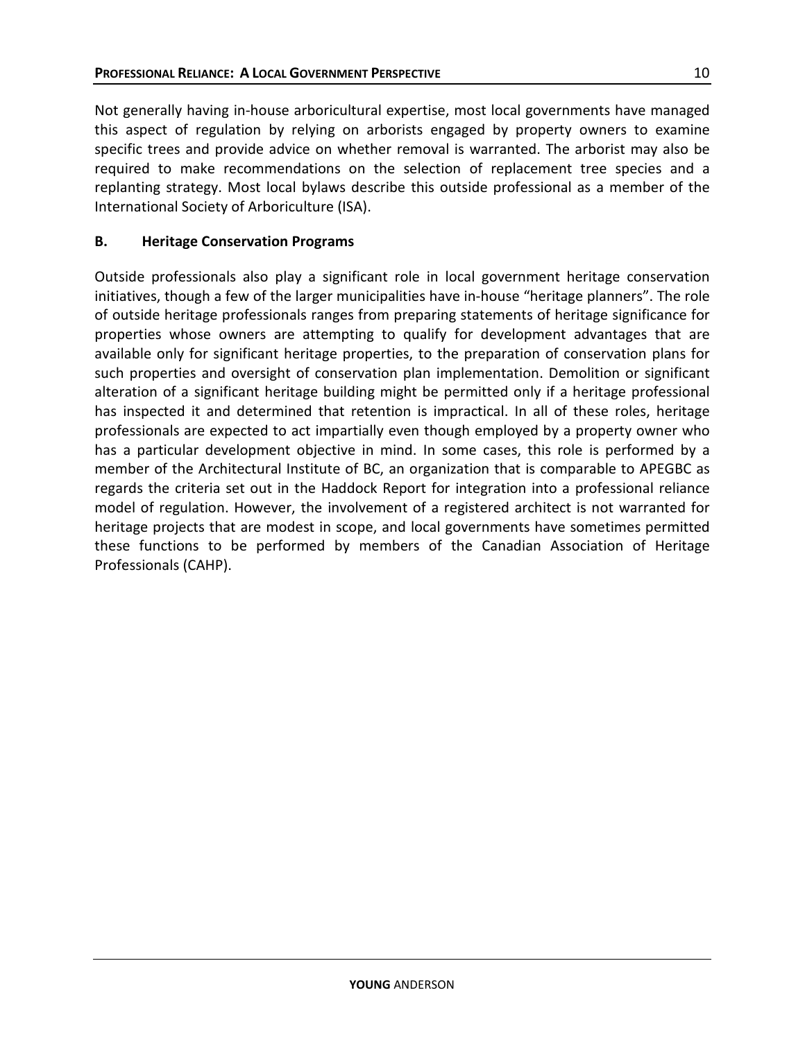Not generally having in-house arboricultural expertise, most local governments have managed this aspect of regulation by relying on arborists engaged by property owners to examine specific trees and provide advice on whether removal is warranted. The arborist may also be required to make recommendations on the selection of replacement tree species and a replanting strategy. Most local bylaws describe this outside professional as a member of the International Society of Arboriculture (ISA).

## **B. Heritage Conservation Programs**

Outside professionals also play a significant role in local government heritage conservation initiatives, though a few of the larger municipalities have in-house "heritage planners". The role of outside heritage professionals ranges from preparing statements of heritage significance for properties whose owners are attempting to qualify for development advantages that are available only for significant heritage properties, to the preparation of conservation plans for such properties and oversight of conservation plan implementation. Demolition or significant alteration of a significant heritage building might be permitted only if a heritage professional has inspected it and determined that retention is impractical. In all of these roles, heritage professionals are expected to act impartially even though employed by a property owner who has a particular development objective in mind. In some cases, this role is performed by a member of the Architectural Institute of BC, an organization that is comparable to APEGBC as regards the criteria set out in the Haddock Report for integration into a professional reliance model of regulation. However, the involvement of a registered architect is not warranted for heritage projects that are modest in scope, and local governments have sometimes permitted these functions to be performed by members of the Canadian Association of Heritage Professionals (CAHP).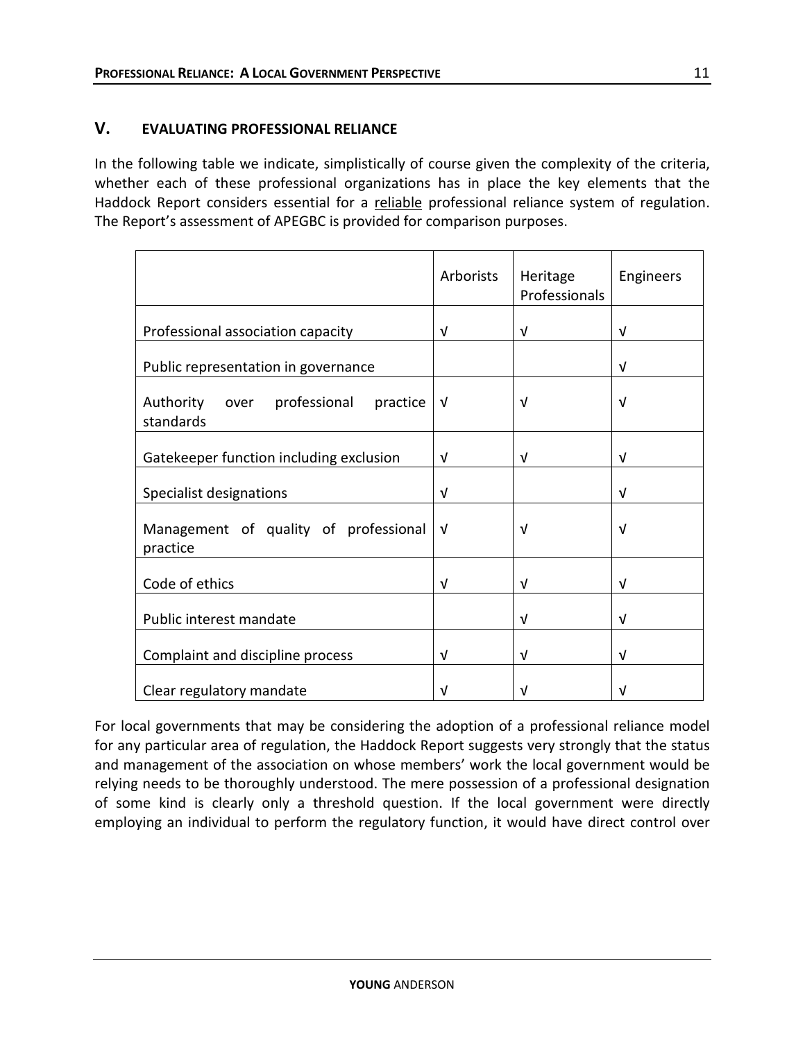### **V. EVALUATING PROFESSIONAL RELIANCE**

In the following table we indicate, simplistically of course given the complexity of the criteria, whether each of these professional organizations has in place the key elements that the Haddock Report considers essential for a reliable professional reliance system of regulation. The Report's assessment of APEGBC is provided for comparison purposes.

|                                                            | Arborists  | Heritage<br>Professionals | Engineers  |
|------------------------------------------------------------|------------|---------------------------|------------|
| Professional association capacity                          | v          | V                         | V          |
| Public representation in governance                        |            |                           | $\sqrt{ }$ |
| Authority<br>professional<br>practice<br>over<br>standards | $\sqrt{ }$ | $\sqrt{ }$                | V          |
| Gatekeeper function including exclusion                    | $\sqrt{ }$ | $\sqrt{ }$                | $\sqrt{ }$ |
| Specialist designations                                    | V          |                           | $\sqrt{ }$ |
| Management of quality of professional<br>practice          | $\sqrt{ }$ | V                         | V          |
| Code of ethics                                             | v          | v                         | V          |
| Public interest mandate                                    |            | V                         | $\sqrt{ }$ |
| Complaint and discipline process                           | V          | V                         | $\sqrt{ }$ |
| Clear regulatory mandate                                   | V          | V                         | ν          |

For local governments that may be considering the adoption of a professional reliance model for any particular area of regulation, the Haddock Report suggests very strongly that the status and management of the association on whose members' work the local government would be relying needs to be thoroughly understood. The mere possession of a professional designation of some kind is clearly only a threshold question. If the local government were directly employing an individual to perform the regulatory function, it would have direct control over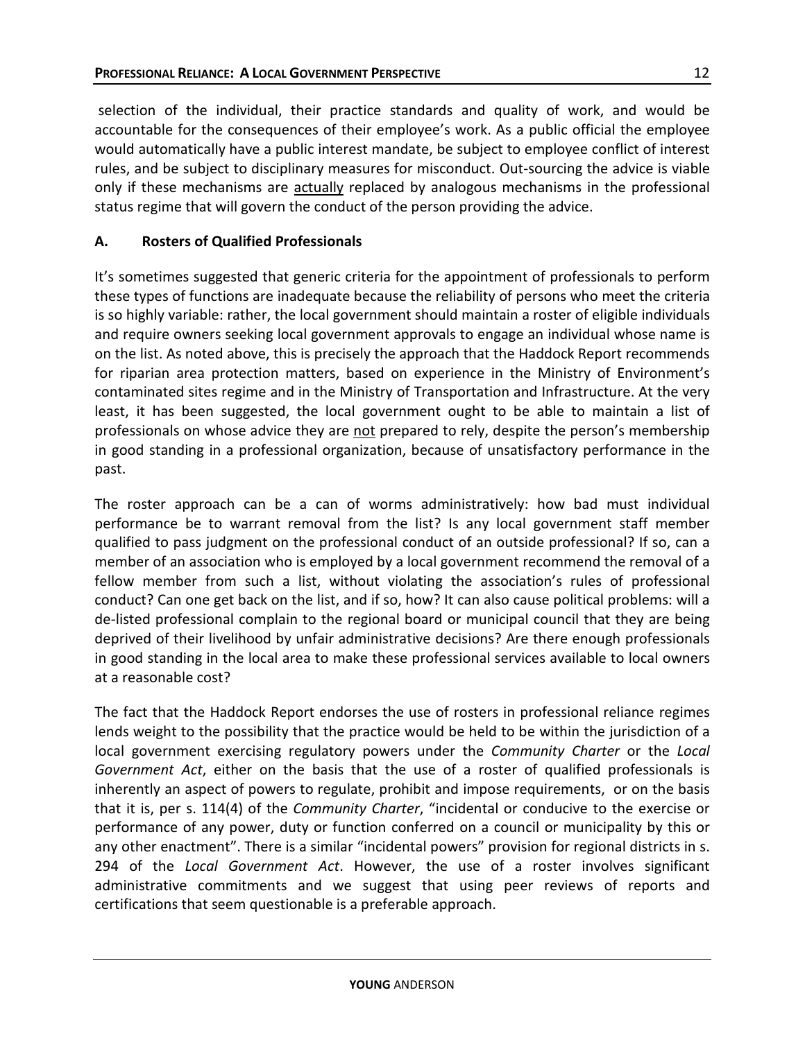selection of the individual, their practice standards and quality of work, and would be accountable for the consequences of their employee's work. As a public official the employee would automatically have a public interest mandate, be subject to employee conflict of interest rules, and be subject to disciplinary measures for misconduct. Out-sourcing the advice is viable only if these mechanisms are actually replaced by analogous mechanisms in the professional status regime that will govern the conduct of the person providing the advice.

# **A. Rosters of Qualified Professionals**

It's sometimes suggested that generic criteria for the appointment of professionals to perform these types of functions are inadequate because the reliability of persons who meet the criteria is so highly variable: rather, the local government should maintain a roster of eligible individuals and require owners seeking local government approvals to engage an individual whose name is on the list. As noted above, this is precisely the approach that the Haddock Report recommends for riparian area protection matters, based on experience in the Ministry of Environment's contaminated sites regime and in the Ministry of Transportation and Infrastructure. At the very least, it has been suggested, the local government ought to be able to maintain a list of professionals on whose advice they are not prepared to rely, despite the person's membership in good standing in a professional organization, because of unsatisfactory performance in the past.

The roster approach can be a can of worms administratively: how bad must individual performance be to warrant removal from the list? Is any local government staff member qualified to pass judgment on the professional conduct of an outside professional? If so, can a member of an association who is employed by a local government recommend the removal of a fellow member from such a list, without violating the association's rules of professional conduct? Can one get back on the list, and if so, how? It can also cause political problems: will a de-listed professional complain to the regional board or municipal council that they are being deprived of their livelihood by unfair administrative decisions? Are there enough professionals in good standing in the local area to make these professional services available to local owners at a reasonable cost?

The fact that the Haddock Report endorses the use of rosters in professional reliance regimes lends weight to the possibility that the practice would be held to be within the jurisdiction of a local government exercising regulatory powers under the *Community Charter* or the *Local Government Act*, either on the basis that the use of a roster of qualified professionals is inherently an aspect of powers to regulate, prohibit and impose requirements, or on the basis that it is, per s. 114(4) of the *Community Charter*, "incidental or conducive to the exercise or performance of any power, duty or function conferred on a council or municipality by this or any other enactment". There is a similar "incidental powers" provision for regional districts in s. 294 of the *Local Government Act*. However, the use of a roster involves significant administrative commitments and we suggest that using peer reviews of reports and certifications that seem questionable is a preferable approach.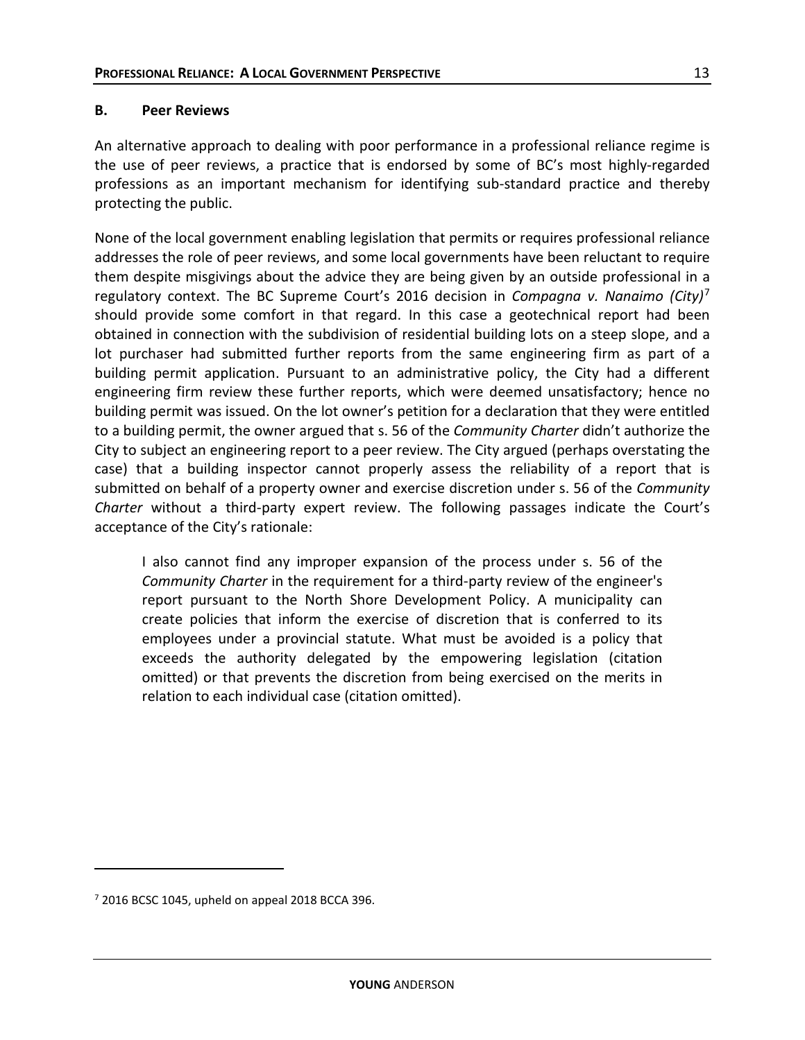#### **B. Peer Reviews**

An alternative approach to dealing with poor performance in a professional reliance regime is the use of peer reviews, a practice that is endorsed by some of BC's most highly-regarded professions as an important mechanism for identifying sub-standard practice and thereby protecting the public.

None of the local government enabling legislation that permits or requires professional reliance addresses the role of peer reviews, and some local governments have been reluctant to require them despite misgivings about the advice they are being given by an outside professional in a regulatory context. The BC Supreme Court's 2016 decision in *Compagna v. Nanaimo (City)*[7](#page-13-0) should provide some comfort in that regard. In this case a geotechnical report had been obtained in connection with the subdivision of residential building lots on a steep slope, and a lot purchaser had submitted further reports from the same engineering firm as part of a building permit application. Pursuant to an administrative policy, the City had a different engineering firm review these further reports, which were deemed unsatisfactory; hence no building permit was issued. On the lot owner's petition for a declaration that they were entitled to a building permit, the owner argued that s. 56 of the *Community Charter* didn't authorize the City to subject an engineering report to a peer review. The City argued (perhaps overstating the case) that a building inspector cannot properly assess the reliability of a report that is submitted on behalf of a property owner and exercise discretion under s. 56 of the *Community Charter* without a third-party expert review. The following passages indicate the Court's acceptance of the City's rationale:

I also cannot find any improper expansion of the process under s. 56 of the *Community Charter* in the requirement for a third-party review of the engineer's report pursuant to the North Shore Development Policy. A municipality can create policies that inform the exercise of discretion that is conferred to its employees under a provincial statute. What must be avoided is a policy that exceeds the authority delegated by the empowering legislation (citation omitted) or that prevents the discretion from being exercised on the merits in relation to each individual case (citation omitted).

 $\overline{a}$ 

<span id="page-13-0"></span> $7$  2016 BCSC 1045, upheld on appeal 2018 BCCA 396.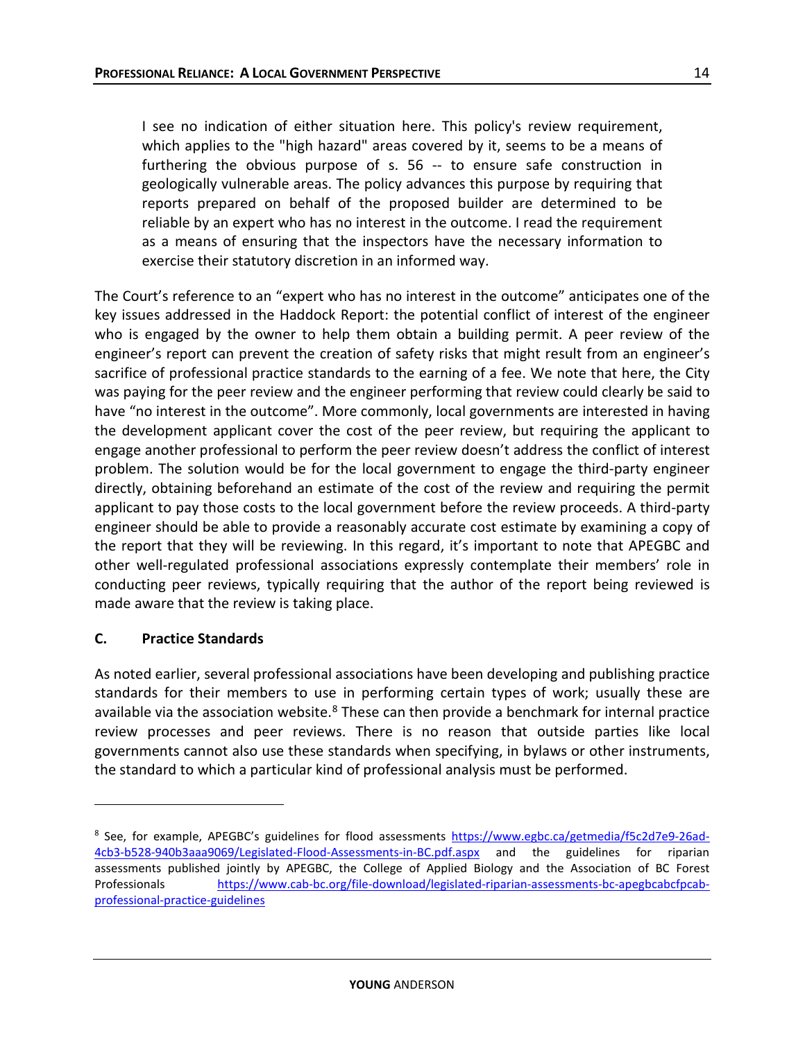I see no indication of either situation here. This policy's review requirement, which applies to the "high hazard" areas covered by it, seems to be a means of furthering the obvious purpose of s. 56 -- to ensure safe construction in geologically vulnerable areas. The policy advances this purpose by requiring that reports prepared on behalf of the proposed builder are determined to be reliable by an expert who has no interest in the outcome. I read the requirement as a means of ensuring that the inspectors have the necessary information to exercise their statutory discretion in an informed way.

The Court's reference to an "expert who has no interest in the outcome" anticipates one of the key issues addressed in the Haddock Report: the potential conflict of interest of the engineer who is engaged by the owner to help them obtain a building permit. A peer review of the engineer's report can prevent the creation of safety risks that might result from an engineer's sacrifice of professional practice standards to the earning of a fee. We note that here, the City was paying for the peer review and the engineer performing that review could clearly be said to have "no interest in the outcome". More commonly, local governments are interested in having the development applicant cover the cost of the peer review, but requiring the applicant to engage another professional to perform the peer review doesn't address the conflict of interest problem. The solution would be for the local government to engage the third-party engineer directly, obtaining beforehand an estimate of the cost of the review and requiring the permit applicant to pay those costs to the local government before the review proceeds. A third-party engineer should be able to provide a reasonably accurate cost estimate by examining a copy of the report that they will be reviewing. In this regard, it's important to note that APEGBC and other well-regulated professional associations expressly contemplate their members' role in conducting peer reviews, typically requiring that the author of the report being reviewed is made aware that the review is taking place.

## **C. Practice Standards**

 $\overline{a}$ 

As noted earlier, several professional associations have been developing and publishing practice standards for their members to use in performing certain types of work; usually these are available via the association website.<sup>[8](#page-14-0)</sup> These can then provide a benchmark for internal practice review processes and peer reviews. There is no reason that outside parties like local governments cannot also use these standards when specifying, in bylaws or other instruments, the standard to which a particular kind of professional analysis must be performed.

<span id="page-14-0"></span><sup>8</sup> See, for example, APEGBC's guidelines for flood assessments [https://www.egbc.ca/getmedia/f5c2d7e9-26ad-](https://www.egbc.ca/getmedia/f5c2d7e9-26ad-4cb3-b528-940b3aaa9069/Legislated-Flood-Assessments-in-BC.pdf.aspx)[4cb3-b528-940b3aaa9069/Legislated-Flood-Assessments-in-BC.pdf.aspx](https://www.egbc.ca/getmedia/f5c2d7e9-26ad-4cb3-b528-940b3aaa9069/Legislated-Flood-Assessments-in-BC.pdf.aspx) and the guidelines for riparian assessments published jointly by APEGBC, the College of Applied Biology and the Association of BC Forest Professionals [https://www.cab-bc.org/file-download/legislated-riparian-assessments-bc-apegbcabcfpcab](https://www.cab-bc.org/file-download/legislated-riparian-assessments-bc-apegbcabcfpcab-professional-practice-guidelines)[professional-practice-guidelines](https://www.cab-bc.org/file-download/legislated-riparian-assessments-bc-apegbcabcfpcab-professional-practice-guidelines)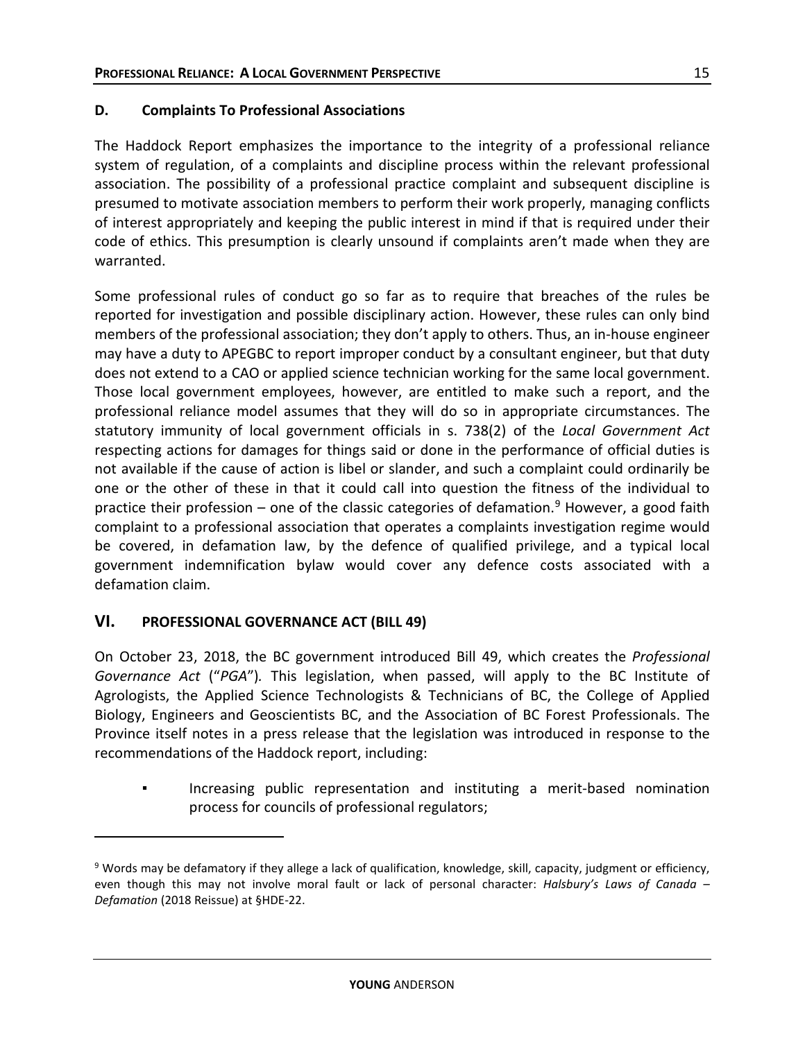#### **D. Complaints To Professional Associations**

The Haddock Report emphasizes the importance to the integrity of a professional reliance system of regulation, of a complaints and discipline process within the relevant professional association. The possibility of a professional practice complaint and subsequent discipline is presumed to motivate association members to perform their work properly, managing conflicts of interest appropriately and keeping the public interest in mind if that is required under their code of ethics. This presumption is clearly unsound if complaints aren't made when they are warranted.

Some professional rules of conduct go so far as to require that breaches of the rules be reported for investigation and possible disciplinary action. However, these rules can only bind members of the professional association; they don't apply to others. Thus, an in-house engineer may have a duty to APEGBC to report improper conduct by a consultant engineer, but that duty does not extend to a CAO or applied science technician working for the same local government. Those local government employees, however, are entitled to make such a report, and the professional reliance model assumes that they will do so in appropriate circumstances. The statutory immunity of local government officials in s. 738(2) of the *Local Government Act* respecting actions for damages for things said or done in the performance of official duties is not available if the cause of action is libel or slander, and such a complaint could ordinarily be one or the other of these in that it could call into question the fitness of the individual to practice their profession – one of the classic categories of defamation.<sup>[9](#page-15-0)</sup> However, a good faith complaint to a professional association that operates a complaints investigation regime would be covered, in defamation law, by the defence of qualified privilege, and a typical local government indemnification bylaw would cover any defence costs associated with a defamation claim.

## **VI. PROFESSIONAL GOVERNANCE ACT (BILL 49)**

 $\overline{a}$ 

On October 23, 2018, the BC government introduced Bill 49, which creates the *Professional Governance Act* ("*PGA*")*.* This legislation, when passed, will apply to the BC Institute of Agrologists, the Applied Science Technologists & Technicians of BC, the College of Applied Biology, Engineers and Geoscientists BC, and the Association of BC Forest Professionals. The Province itself notes in a press release that the legislation was introduced in response to the recommendations of the Haddock report, including:

Increasing public representation and instituting a merit-based nomination process for councils of professional regulators;

<span id="page-15-0"></span><sup>9</sup> Words may be defamatory if they allege a lack of qualification, knowledge, skill, capacity, judgment or efficiency, even though this may not involve moral fault or lack of personal character: *Halsbury's Laws of Canada – Defamation* (2018 Reissue) at §HDE-22.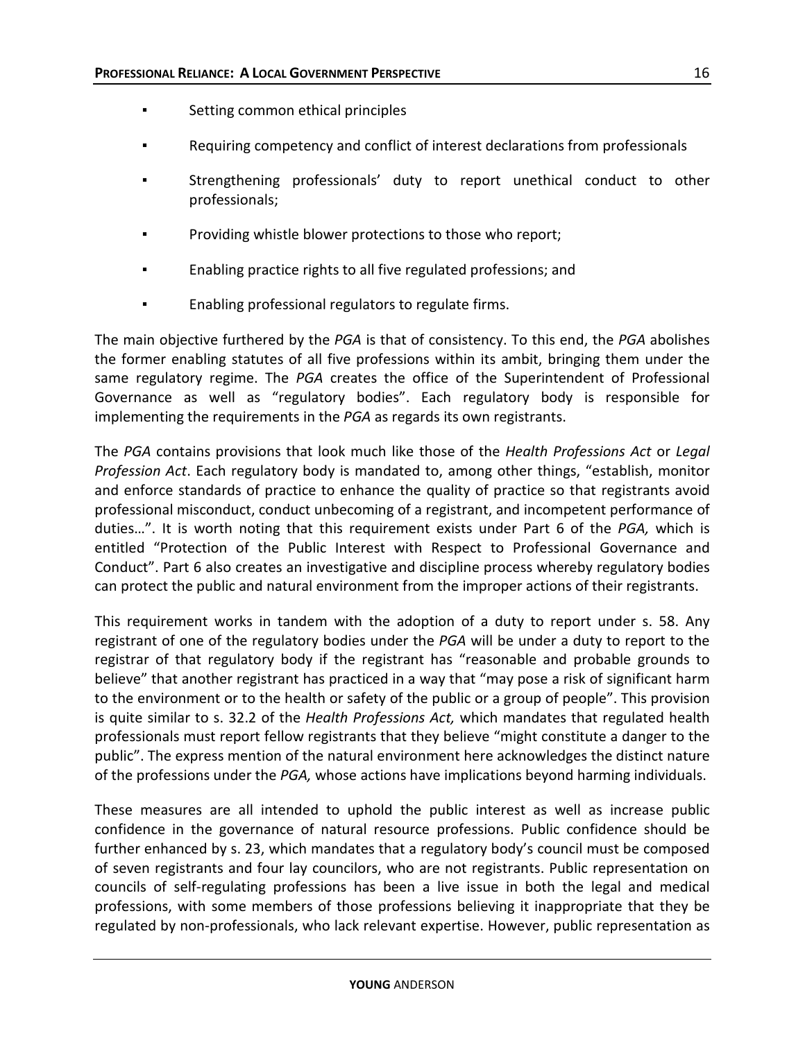- Setting common ethical principles
- Requiring competency and conflict of interest declarations from professionals
- Strengthening professionals' duty to report unethical conduct to other professionals;
- Providing whistle blower protections to those who report;
- Enabling practice rights to all five regulated professions; and
- Enabling professional regulators to regulate firms.

The main objective furthered by the *PGA* is that of consistency. To this end, the *PGA* abolishes the former enabling statutes of all five professions within its ambit, bringing them under the same regulatory regime. The *PGA* creates the office of the Superintendent of Professional Governance as well as "regulatory bodies". Each regulatory body is responsible for implementing the requirements in the *PGA* as regards its own registrants.

The *PGA* contains provisions that look much like those of the *Health Professions Act* or *Legal Profession Act*. Each regulatory body is mandated to, among other things, "establish, monitor and enforce standards of practice to enhance the quality of practice so that registrants avoid professional misconduct, conduct unbecoming of a registrant, and incompetent performance of duties…". It is worth noting that this requirement exists under Part 6 of the *PGA,* which is entitled "Protection of the Public Interest with Respect to Professional Governance and Conduct". Part 6 also creates an investigative and discipline process whereby regulatory bodies can protect the public and natural environment from the improper actions of their registrants.

This requirement works in tandem with the adoption of a duty to report under s. 58. Any registrant of one of the regulatory bodies under the *PGA* will be under a duty to report to the registrar of that regulatory body if the registrant has "reasonable and probable grounds to believe" that another registrant has practiced in a way that "may pose a risk of significant harm to the environment or to the health or safety of the public or a group of people". This provision is quite similar to s. 32.2 of the *Health Professions Act,* which mandates that regulated health professionals must report fellow registrants that they believe "might constitute a danger to the public". The express mention of the natural environment here acknowledges the distinct nature of the professions under the *PGA,* whose actions have implications beyond harming individuals.

These measures are all intended to uphold the public interest as well as increase public confidence in the governance of natural resource professions. Public confidence should be further enhanced by s. 23, which mandates that a regulatory body's council must be composed of seven registrants and four lay councilors, who are not registrants. Public representation on councils of self-regulating professions has been a live issue in both the legal and medical professions, with some members of those professions believing it inappropriate that they be regulated by non-professionals, who lack relevant expertise. However, public representation as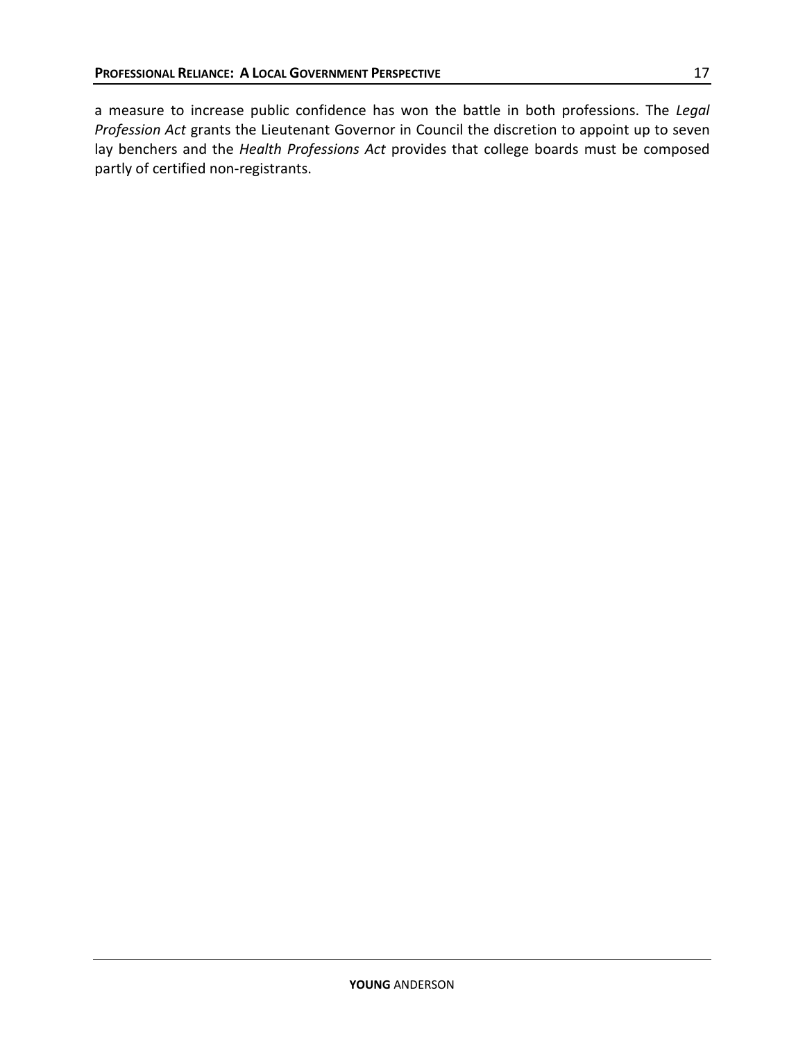a measure to increase public confidence has won the battle in both professions. The *Legal Profession Act* grants the Lieutenant Governor in Council the discretion to appoint up to seven lay benchers and the *Health Professions Act* provides that college boards must be composed partly of certified non-registrants.